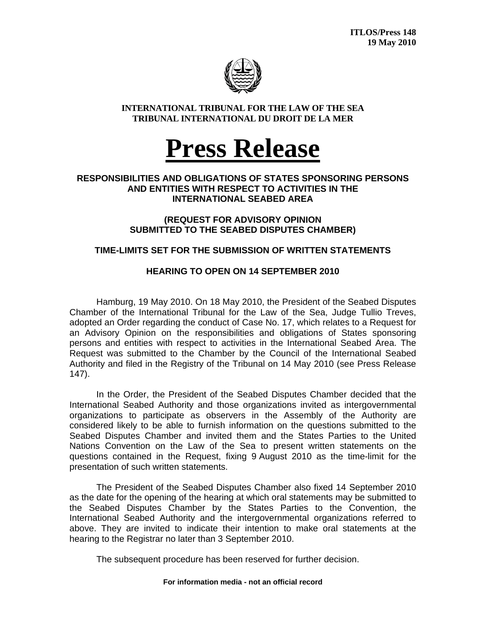

### **INTERNATIONAL TRIBUNAL FOR THE LAW OF THE SEA TRIBUNAL INTERNATIONAL DU DROIT DE LA MER**



### **RESPONSIBILITIES AND OBLIGATIONS OF STATES SPONSORING PERSONS AND ENTITIES WITH RESPECT TO ACTIVITIES IN THE INTERNATIONAL SEABED AREA**

**(REQUEST FOR ADVISORY OPINION SUBMITTED TO THE SEABED DISPUTES CHAMBER)** 

# **TIME-LIMITS SET FOR THE SUBMISSION OF WRITTEN STATEMENTS**

# **HEARING TO OPEN ON 14 SEPTEMBER 2010**

 Hamburg, 19 May 2010. On 18 May 2010, the President of the Seabed Disputes Chamber of the International Tribunal for the Law of the Sea, Judge Tullio Treves, adopted an Order regarding the conduct of Case No. 17, which relates to a Request for an Advisory Opinion on the responsibilities and obligations of States sponsoring persons and entities with respect to activities in the International Seabed Area. The Request was submitted to the Chamber by the Council of the International Seabed Authority and filed in the Registry of the Tribunal on 14 May 2010 (see Press Release 147).

In the Order, the President of the Seabed Disputes Chamber decided that the International Seabed Authority and those organizations invited as intergovernmental organizations to participate as observers in the Assembly of the Authority are considered likely to be able to furnish information on the questions submitted to the Seabed Disputes Chamber and invited them and the States Parties to the United Nations Convention on the Law of the Sea to present written statements on the questions contained in the Request, fixing 9 August 2010 as the time-limit for the presentation of such written statements.

The President of the Seabed Disputes Chamber also fixed 14 September 2010 as the date for the opening of the hearing at which oral statements may be submitted to the Seabed Disputes Chamber by the States Parties to the Convention, the International Seabed Authority and the intergovernmental organizations referred to above. They are invited to indicate their intention to make oral statements at the hearing to the Registrar no later than 3 September 2010.

The subsequent procedure has been reserved for further decision.